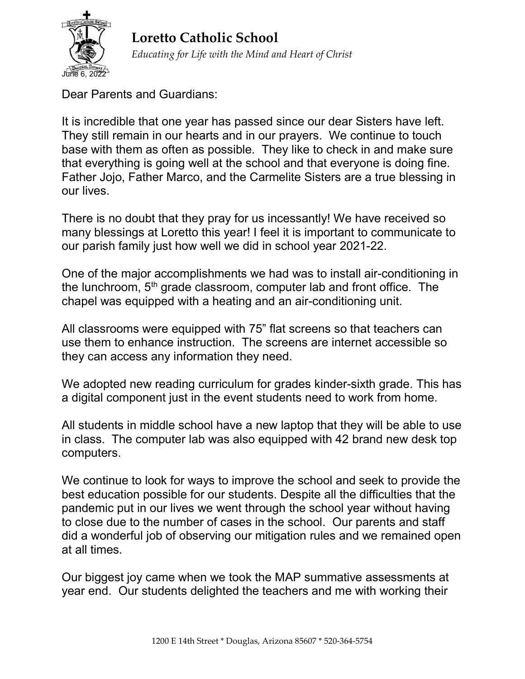

Loretto Catholic School Educating for Life with the Mind and Heart of Christ

Dear Parents and Guardians:

It is incredible that one year has passed since our dear Sisters have left. They still remain in our hearts and in our prayers. We continue to touch base with them as often as possible. They like to check in and make sure that everything is going well at the school and that everyone is doing fine. Father Jojo, Father Marco, and the Carmelite Sisters are a true blessing in our lives.

There is no doubt that they pray for us incessantly! We have received so many blessings at Loretto this year! I feel it is important to communicate to our parish family just how well we did in school year 2021-22.

One of the major accomplishments we had was to install air-conditioning in the lunchroom,  $5<sup>th</sup>$  grade classroom, computer lab and front office. The chapel was equipped with a heating and an air-conditioning unit.

All classrooms were equipped with 75" flat screens so that teachers can use them to enhance instruction. The screens are internet accessible so they can access any information they need.

We adopted new reading curriculum for grades kinder-sixth grade. This has a digital component just in the event students need to work from home.

All students in middle school have a new laptop that they will be able to use in class. The computer lab was also equipped with 42 brand new desk top computers.

We continue to look for ways to improve the school and seek to provide the best education possible for our students. Despite all the difficulties that the pandemic put in our lives we went through the school year without having to close due to the number of cases in the school. Our parents and staff did a wonderful job of observing our mitigation rules and we remained open at all times.

Our biggest joy came when we took the MAP summative assessments at year end. Our students delighted the teachers and me with working their